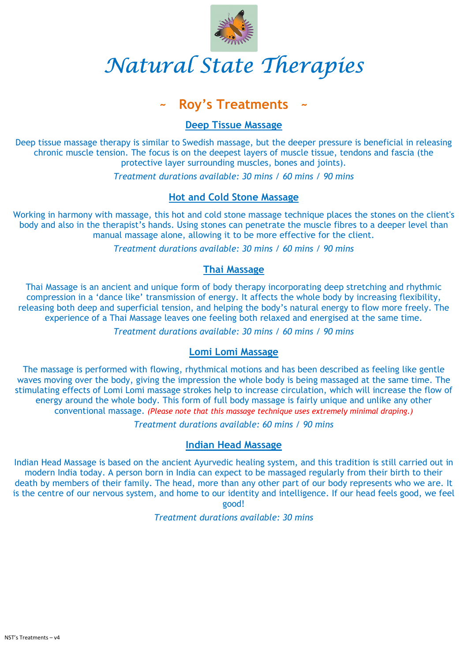NST's Treatments – v4



# Natural State Therapies

# Roy's Treatments

### Deep Tissue Massage

Deep tissue massage therapy is similar to Swedish massage, but the deeper pressure is beneficial in releasing chronic muscle tension. The focus is on the deepest layers of muscle tissue, tendons and fascia (the protective layer surrounding muscles, bones and joints).

Treatment durations available: 30 mins / 60 mins / 90 mins

## Hot and Cold Stone Massage

Working in harmony with massage, this hot and cold stone massage technique places the stones on the client's body and also in the therapist's hands. Using stones can penetrate the muscle fibres to a deeper level than manual massage alone, allowing it to be more effective for the client.

Treatment durations available: 30 mins / 60 mins / 90 mins

#### Thai Massage

Thai Massage is an ancient and unique form of body therapy incorporating deep stretching and rhythmic compression in a 'dance like' transmission of energy. It affects the whole body by increasing flexibility, releasing both deep and superficial tension, and helping the body's natural energy to flow more freely. The experience of a Thai Massage leaves one feeling both relaxed and energised at the same time.

Treatment durations available: 30 mins / 60 mins / 90 mins

# Lomi Lomi Massage

The massage is performed with flowing, rhythmical motions and has been described as feeling like gentle waves moving over the body, giving the impression the whole body is being massaged at the same time. The stimulating effects of Lomi Lomi massage strokes help to increase circulation, which will increase the flow of energy around the whole body. This form of full body massage is fairly unique and unlike any other conventional massage. (Please note that this massage technique uses extremely minimal draping.)

Treatment durations available: 60 mins / 90 mins

# Indian Head Massage

Indian Head Massage is based on the ancient Ayurvedic healing system, and this tradition is still carried out in modern India today. A person born in India can expect to be massaged regularly from their birth to their death by members of their family. The head, more than any other part of our body represents who we are. It is the centre of our nervous system, and home to our identity and intelligence. If our head feels good, we feel



Treatment durations available: 30 mins